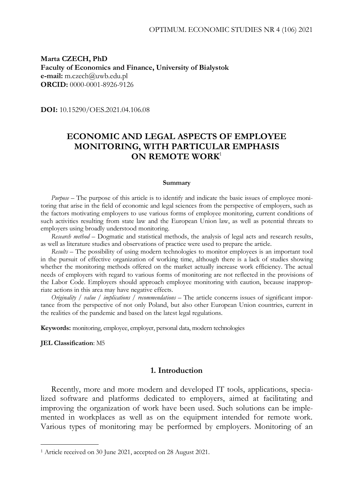**Marta CZECH, PhD Faculty of Economics and Finance, University of Bialystok e-mail:** m.czech@uwb.edu.pl **ORCID:** 0000-0001-8926-9126

**DOI:** 10.15290/OES.2021.04.106.08

# **ECONOMIC AND LEGAL ASPECTS OF EMPLOYEE MONITORING, WITH PARTICULAR EMPHASIS ON REMOTE WORK**<sup>1</sup>

#### **Summary**

*Purpose –* The purpose of this article is to identify and indicate the basic issues of employee monitoring that arise in the field of economic and legal sciences from the perspective of employers, such as the factors motivating employers to use various forms of employee monitoring, current conditions of such activities resulting from state law and the European Union law, as well as potential threats to employers using broadly understood monitoring.

*Research method –* Dogmatic and statistical methods, the analysis of legal acts and research results, as well as literature studies and observations of practice were used to prepare the article.

*Results –* The possibility of using modern technologies to monitor employees is an important tool in the pursuit of effective organization of working time, although there is a lack of studies showing whether the monitoring methods offered on the market actually increase work efficiency. The actual needs of employers with regard to various forms of monitoring are not reflected in the provisions of the Labor Code. Employers should approach employee monitoring with caution, because inappropriate actions in this area may have negative effects.

*Originality / value / implications / recommendations* – The article concerns issues of significant importance from the perspective of not only Poland, but also other European Union countries, current in the realities of the pandemic and based on the latest legal regulations.

**Keywords:** monitoring, employee, employer, personal data, modern technologies

**JEL Classification**: M5

-

## **1. Introduction**

Recently, more and more modern and developed IT tools, applications, specialized software and platforms dedicated to employers, aimed at facilitating and improving the organization of work have been used. Such solutions can be implemented in workplaces as well as on the equipment intended for remote work. Various types of monitoring may be performed by employers. Monitoring of an

<sup>1</sup> Article received on 30 June 2021, accepted on 28 August 2021.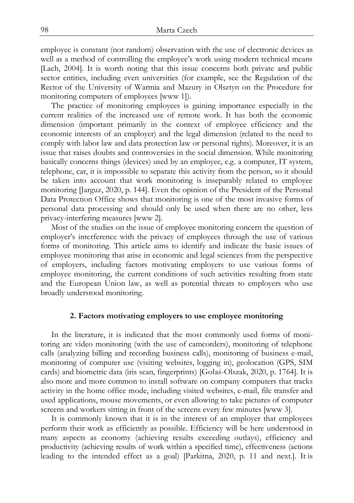employee is constant (not random) observation with the use of electronic devices as well as a method of controlling the employee's work using modern technical means [Lach, 2004]. It is worth noting that this issue concerns both private and public sector entities, including even universities (for example, see the Regulation of the Rector of the University of Warmia and Mazury in Olsztyn on the Procedure for monitoring computers of employees [www 1]).

The practice of monitoring employees is gaining importance especially in the current realities of the increased use of remote work. It has both the economic dimension (important primarily in the context of employee efficiency and the economic interests of an employer) and the legal dimension (related to the need to comply with labor law and data protection law or personal rights). Moreover, it is an issue that raises doubts and controversies in the social dimension. While monitoring basically concerns things (devices) used by an employee, e.g. a computer, IT system, telephone, car, it is impossible to separate this activity from the person, so it should be taken into account that work monitoring is inseparably related to employee monitoring [Jarguz, 2020, p. 144]. Even the opinion of the President of the Personal Data Protection Office shows that monitoring is one of the most invasive forms of personal data processing and should only be used when there are no other, less privacy-interfering measures [www 2].

Most of the studies on the issue of employee monitoring concern the question of employer's interference with the privacy of employees through the use of various forms of monitoring. This article aims to identify and indicate the basic issues of employee monitoring that arise in economic and legal sciences from the perspective of employers, including factors motivating employers to use various forms of employee monitoring, the current conditions of such activities resulting from state and the European Union law, as well as potential threats to employers who use broadly understood monitoring.

### **2. Factors motivating employers to use employee monitoring**

In the literature, it is indicated that the most commonly used forms of monitoring are video monitoring (with the use of camcorders), monitoring of telephone calls (analyzing billing and recording business calls), monitoring of business e-mail, monitoring of computer use (visiting websites, logging in), geolocation (GPS, SIM cards) and biometric data (iris scan, fingerprints) [Gołaś-Olszak, 2020, p. 1764]. It is also more and more common to install software on company computers that tracks activity in the home office mode, including visited websites, e-mail, file transfer and used applications, mouse movements, or even allowing to take pictures of computer screens and workers sitting in front of the screens every few minutes [www 3].

It is commonly known that it is in the interest of an employer that employees perform their work as efficiently as possible. Efficiency will be here understood in many aspects as economy (achieving results exceeding outlays), efficiency and productivity (achieving results of work within a specified time), effectiveness (actions leading to the intended effect as a goal) [Parkitna, 2020, p. 11 and next.]. It is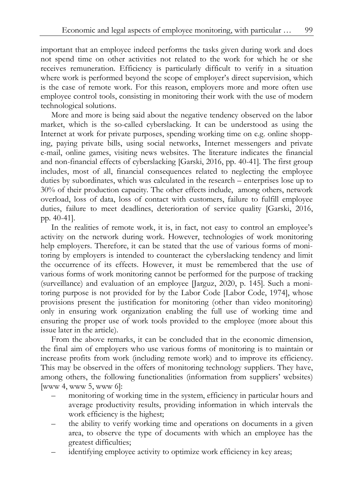important that an employee indeed performs the tasks given during work and does not spend time on other activities not related to the work for which he or she receives remuneration. Efficiency is particularly difficult to verify in a situation where work is performed beyond the scope of employer's direct supervision, which is the case of remote work. For this reason, employers more and more often use employee control tools, consisting in monitoring their work with the use of modern technological solutions.

More and more is being said about the negative tendency observed on the labor market, which is the so-called cyberslacking. It can be understood as using the Internet at work for private purposes, spending working time on e.g. online shopping, paying private bills, using social networks, Internet messengers and private e-mail, online games, visiting news websites. The literature indicates the financial and non-financial effects of cyberslacking [Garski, 2016, pp. 40-41]. The first group includes, most of all, financial consequences related to neglecting the employee duties by subordinates, which was calculated in the research – enterprises lose up to 30% of their production capacity. The other effects include, among others, network overload, loss of data, loss of contact with customers, failure to fulfill employee duties, failure to meet deadlines, deterioration of service quality [Garski, 2016, pp. 40-41].

In the realities of remote work, it is, in fact, not easy to control an employee's activity on the network during work. However, technologies of work monitoring help employers. Therefore, it can be stated that the use of various forms of monitoring by employers is intended to counteract the cyberslacking tendency and limit the occurrence of its effects. However, it must be remembered that the use of various forms of work monitoring cannot be performed for the purpose of tracking (surveillance) and evaluation of an employee [Jarguz, 2020, p. 145]. Such a monitoring purpose is not provided for by the Labor Code [Labor Code, 1974], whose provisions present the justification for monitoring (other than video monitoring) only in ensuring work organization enabling the full use of working time and ensuring the proper use of work tools provided to the employee (more about this issue later in the article).

From the above remarks, it can be concluded that in the economic dimension, the final aim of employers who use various forms of monitoring is to maintain or increase profits from work (including remote work) and to improve its efficiency. This may be observed in the offers of monitoring technology suppliers. They have, among others, the following functionalities (information from suppliers' websites) [www 4, www 5, www 6]:

- monitoring of working time in the system, efficiency in particular hours and average productivity results, providing information in which intervals the work efficiency is the highest;
- the ability to verify working time and operations on documents in a given area, to observe the type of documents with which an employee has the greatest difficulties;
- identifying employee activity to optimize work efficiency in key areas;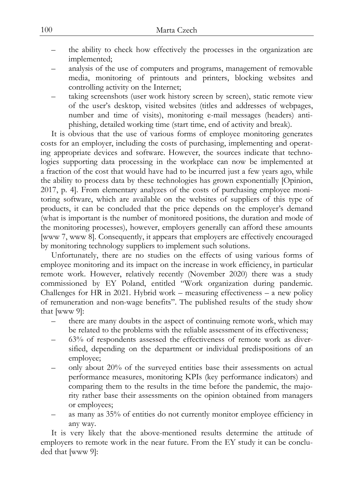- the ability to check how effectively the processes in the organization are implemented;
- analysis of the use of computers and programs, management of removable media, monitoring of printouts and printers, blocking websites and controlling activity on the Internet;
- taking screenshots (user work history screen by screen), static remote view of the user's desktop, visited websites (titles and addresses of webpages, number and time of visits), monitoring e-mail messages (headers) antiphishing, detailed working time (start time, end of activity and break).

It is obvious that the use of various forms of employee monitoring generates costs for an employer, including the costs of purchasing, implementing and operating appropriate devices and software. However, the sources indicate that technologies supporting data processing in the workplace can now be implemented at a fraction of the cost that would have had to be incurred just a few years ago, while the ability to process data by these technologies has grown exponentially [Opinion, 2017, p. 4]. From elementary analyzes of the costs of purchasing employee monitoring software, which are available on the websites of suppliers of this type of products, it can be concluded that the price depends on the employer's demand (what is important is the number of monitored positions, the duration and mode of the monitoring processes), however, employers generally can afford these amounts [www 7, www 8]. Consequently, it appears that employers are effectively encouraged by monitoring technology suppliers to implement such solutions.

Unfortunately, there are no studies on the effects of using various forms of employee monitoring and its impact on the increase in work efficiency, in particular remote work. However, relatively recently (November 2020) there was a study commissioned by EY Poland, entitled "Work organization during pandemic. Challenges for HR in 2021. Hybrid work – measuring effectiveness – a new policy of remuneration and non-wage benefits". The published results of the study show that [www 9]:

- there are many doubts in the aspect of continuing remote work, which may be related to the problems with the reliable assessment of its effectiveness;
- 63% of respondents assessed the effectiveness of remote work as diversified, depending on the department or individual predispositions of an employee;
- only about 20% of the surveyed entities base their assessments on actual performance measures, monitoring KPIs (key performance indicators) and comparing them to the results in the time before the pandemic, the majority rather base their assessments on the opinion obtained from managers or employees;
- as many as 35% of entities do not currently monitor employee efficiency in any way.

It is very likely that the above-mentioned results determine the attitude of employers to remote work in the near future. From the EY study it can be concluded that [www 9]: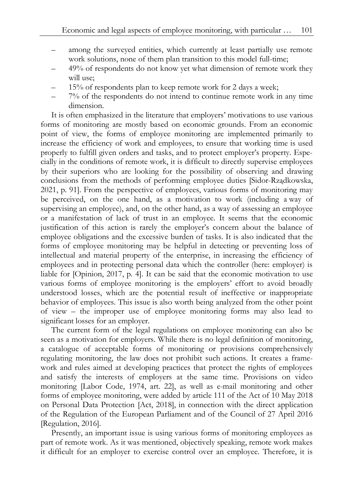- among the surveyed entities, which currently at least partially use remote work solutions, none of them plan transition to this model full-time;
- 49% of respondents do not know yet what dimension of remote work they will use;
- 15% of respondents plan to keep remote work for 2 days a week;
- 7% of the respondents do not intend to continue remote work in any time dimension.

It is often emphasized in the literature that employers' motivations to use various forms of monitoring are mostly based on economic grounds. From an economic point of view, the forms of employee monitoring are implemented primarily to increase the efficiency of work and employees, to ensure that working time is used properly to fulfill given orders and tasks, and to protect employer's property. Especially in the conditions of remote work, it is difficult to directly supervise employees by their superiors who are looking for the possibility of observing and drawing conclusions from the methods of performing employee duties [Sidor-Rządkowska, 2021, p. 91]. From the perspective of employees, various forms of monitoring may be perceived, on the one hand, as a motivation to work (including a way of supervising an employee), and, on the other hand, as a way of assessing an employee or a manifestation of lack of trust in an employee. It seems that the economic justification of this action is rarely the employer's concern about the balance of employee obligations and the excessive burden of tasks. It is also indicated that the forms of employee monitoring may be helpful in detecting or preventing loss of intellectual and material property of the enterprise, in increasing the efficiency of employees and in protecting personal data which the controller (here: employer) is liable for [Opinion, 2017, p. 4]. It can be said that the economic motivation to use various forms of employee monitoring is the employers' effort to avoid broadly understood losses, which are the potential result of ineffective or inappropriate behavior of employees. This issue is also worth being analyzed from the other point of view – the improper use of employee monitoring forms may also lead to significant losses for an employer.

The current form of the legal regulations on employee monitoring can also be seen as a motivation for employers. While there is no legal definition of monitoring, a catalogue of acceptable forms of monitoring or provisions comprehensively regulating monitoring, the law does not prohibit such actions. It creates a framework and rules aimed at developing practices that protect the rights of employees and satisfy the interests of employers at the same time. Provisions on video monitoring [Labor Code, 1974, art. 22], as well as e-mail monitoring and other forms of employee monitoring, were added by article 111 of the Act of 10 May 2018 on Personal Data Protection [Act, 2018], in connection with the direct application of the Regulation of the European Parliament and of the Council of 27 April 2016 [Regulation, 2016].

Presently, an important issue is using various forms of monitoring employees as part of remote work. As it was mentioned, objectively speaking, remote work makes it difficult for an employer to exercise control over an employee. Therefore, it is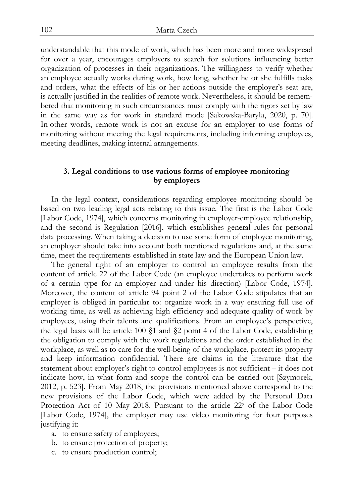understandable that this mode of work, which has been more and more widespread for over a year, encourages employers to search for solutions influencing better organization of processes in their organizations. The willingness to verify whether an employee actually works during work, how long, whether he or she fulfills tasks and orders, what the effects of his or her actions outside the employer's seat are, is actually justified in the realities of remote work. Nevertheless, it should be remembered that monitoring in such circumstances must comply with the rigors set by law in the same way as for work in standard mode [Sakowska-Baryła, 2020, p. 70]. In other words, remote work is not an excuse for an employer to use forms of monitoring without meeting the legal requirements, including informing employees, meeting deadlines, making internal arrangements.

# **3. Legal conditions to use various forms of employee monitoring by employers**

In the legal context, considerations regarding employee monitoring should be based on two leading legal acts relating to this issue. The first is the Labor Code [Labor Code, 1974], which concerns monitoring in employer-employee relationship, and the second is Regulation [2016], which establishes general rules for personal data processing. When taking a decision to use some form of employee monitoring, an employer should take into account both mentioned regulations and, at the same time, meet the requirements established in state law and the European Union law.

The general right of an employer to control an employee results from the content of article 22 of the Labor Code (an employee undertakes to perform work of a certain type for an employer and under his direction) [Labor Code, 1974]. Moreover, the content of article 94 point 2 of the Labor Code stipulates that an employer is obliged in particular to: organize work in a way ensuring full use of working time, as well as achieving high efficiency and adequate quality of work by employees, using their talents and qualifications. From an employee's perspective, the legal basis will be article 100  $\S1$  and  $\S2$  point 4 of the Labor Code, establishing the obligation to comply with the work regulations and the order established in the workplace, as well as to care for the well-being of the workplace, protect its property and keep information confidential. There are claims in the literature that the statement about employer's right to control employees is not sufficient – it does not indicate how, in what form and scope the control can be carried out [Szymorek, 2012, p. 523]. From May 2018, the provisions mentioned above correspond to the new provisions of the Labor Code, which were added by the Personal Data Protection Act of 10 May 2018. Pursuant to the article 222 of the Labor Code [Labor Code, 1974], the employer may use video monitoring for four purposes justifying it:

- a. to ensure safety of employees;
- b. to ensure protection of property;
- c. to ensure production control;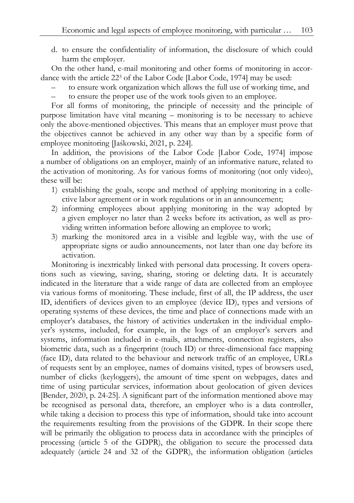d. to ensure the confidentiality of information, the disclosure of which could harm the employer.

On the other hand, e-mail monitoring and other forms of monitoring in accordance with the article 223 of the Labor Code [Labor Code, 1974] may be used:

- to ensure work organization which allows the full use of working time, and
- to ensure the proper use of the work tools given to an employee.

For all forms of monitoring, the principle of necessity and the principle of purpose limitation have vital meaning – monitoring is to be necessary to achieve only the above-mentioned objectives. This means that an employer must prove that the objectives cannot be achieved in any other way than by a specific form of employee monitoring [Jaśkowski, 2021, p. 224].

In addition, the provisions of the Labor Code [Labor Code, 1974] impose a number of obligations on an employer, mainly of an informative nature, related to the activation of monitoring. As for various forms of monitoring (not only video), these will be:

- 1) establishing the goals, scope and method of applying monitoring in a collective labor agreement or in work regulations or in an announcement;
- 2) informing employees about applying monitoring in the way adopted by a given employer no later than 2 weeks before its activation, as well as providing written information before allowing an employee to work;
- 3) marking the monitored area in a visible and legible way, with the use of appropriate signs or audio announcements, not later than one day before its activation.

Monitoring is inextricably linked with personal data processing. It covers operations such as viewing, saving, sharing, storing or deleting data. It is accurately indicated in the literature that a wide range of data are collected from an employee via various forms of monitoring. These include, first of all, the IP address, the user ID, identifiers of devices given to an employee (device ID), types and versions of operating systems of these devices, the time and place of connections made with an employer's databases, the history of activities undertaken in the individual employer's systems, included, for example, in the logs of an employer's servers and systems, information included in e-mails, attachments, connection registers, also biometric data, such as a fingerprint (touch ID) or three-dimensional face mapping (face ID), data related to the behaviour and network traffic of an employee, URLs of requests sent by an employee, names of domains visited, types of browsers used, number of clicks (keyloggers), the amount of time spent on webpages, dates and time of using particular services, information about geolocation of given devices [Bender, 2020, p. 24-25]. A significant part of the information mentioned above may be recognised as personal data, therefore, an employer who is a data controller, while taking a decision to process this type of information, should take into account the requirements resulting from the provisions of the GDPR. In their scope there will be primarily the obligation to process data in accordance with the principles of processing (article 5 of the GDPR), the obligation to secure the processed data adequately (article 24 and 32 of the GDPR), the information obligation (articles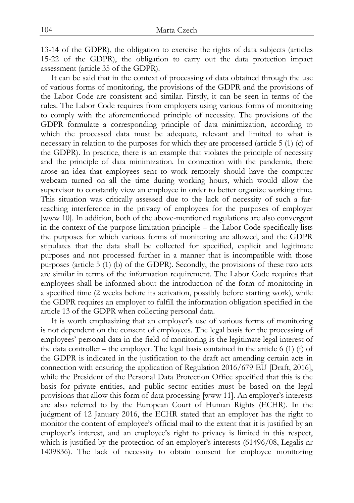13-14 of the GDPR), the obligation to exercise the rights of data subjects (articles 15-22 of the GDPR), the obligation to carry out the data protection impact assessment (article 35 of the GDPR).

It can be said that in the context of processing of data obtained through the use of various forms of monitoring, the provisions of the GDPR and the provisions of the Labor Code are consistent and similar. Firstly, it can be seen in terms of the rules. The Labor Code requires from employers using various forms of monitoring to comply with the aforementioned principle of necessity. The provisions of the GDPR formulate a corresponding principle of data minimization, according to which the processed data must be adequate, relevant and limited to what is necessary in relation to the purposes for which they are processed (article 5 (1) (c) of the GDPR). In practice, there is an example that violates the principle of necessity and the principle of data minimization. In connection with the pandemic, there arose an idea that employees sent to work remotely should have the computer webcam turned on all the time during working hours, which would allow the supervisor to constantly view an employee in order to better organize working time. This situation was critically assessed due to the lack of necessity of such a farreaching interference in the privacy of employees for the purposes of employer [www 10]. In addition, both of the above-mentioned regulations are also convergent in the context of the purpose limitation principle – the Labor Code specifically lists the purposes for which various forms of monitoring are allowed, and the GDPR stipulates that the data shall be collected for specified, explicit and legitimate purposes and not processed further in a manner that is incompatible with those purposes (article 5 (1) (b) of the GDPR). Secondly, the provisions of these two acts are similar in terms of the information requirement. The Labor Code requires that employees shall be informed about the introduction of the form of monitoring in a specified time (2 weeks before its activation, possibly before starting work), while the GDPR requires an employer to fulfill the information obligation specified in the article 13 of the GDPR when collecting personal data.

It is worth emphasizing that an employer's use of various forms of monitoring is not dependent on the consent of employees. The legal basis for the processing of employees' personal data in the field of monitoring is the legitimate legal interest of the data controller – the employer. The legal basis contained in the article 6  $(1)$  (f) of the GDPR is indicated in the justification to the draft act amending certain acts in connection with ensuring the application of Regulation 2016/679 EU [Draft, 2016], while the President of the Personal Data Protection Office specified that this is the basis for private entities, and public sector entities must be based on the legal provisions that allow this form of data processing [www 11]. An employer's interests are also referred to by the European Court of Human Rights (ECHR). In the judgment of 12 January 2016, the ECHR stated that an employer has the right to monitor the content of employee's official mail to the extent that it is justified by an employer's interest, and an employee's right to privacy is limited in this respect, which is justified by the protection of an employer's interests (61496/08, Legalis nr 1409836). The lack of necessity to obtain consent for employee monitoring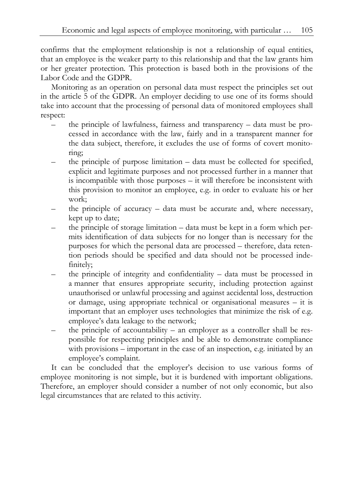confirms that the employment relationship is not a relationship of equal entities, that an employee is the weaker party to this relationship and that the law grants him or her greater protection. This protection is based both in the provisions of the Labor Code and the GDPR.

Monitoring as an operation on personal data must respect the principles set out in the article 5 of the GDPR. An employer deciding to use one of its forms should take into account that the processing of personal data of monitored employees shall respect:

- the principle of lawfulness, fairness and transparency data must be processed in accordance with the law, fairly and in a transparent manner for the data subject, therefore, it excludes the use of forms of covert monitoring;
- the principle of purpose limitation data must be collected for specified, explicit and legitimate purposes and not processed further in a manner that is incompatible with those purposes – it will therefore be inconsistent with this provision to monitor an employee, e.g. in order to evaluate his or her work;
- the principle of accuracy data must be accurate and, where necessary, kept up to date;
- the principle of storage limitation data must be kept in a form which permits identification of data subjects for no longer than is necessary for the purposes for which the personal data are processed – therefore, data retention periods should be specified and data should not be processed indefinitely;
- the principle of integrity and confidentiality data must be processed in a manner that ensures appropriate security, including protection against unauthorised or unlawful processing and against accidental loss, destruction or damage, using appropriate technical or organisational measures – it is important that an employer uses technologies that minimize the risk of e.g. employee's data leakage to the network;
- the principle of accountability an employer as a controller shall be responsible for respecting principles and be able to demonstrate compliance with provisions – important in the case of an inspection, e.g. initiated by an employee's complaint.

It can be concluded that the employer's decision to use various forms of employee monitoring is not simple, but it is burdened with important obligations. Therefore, an employer should consider a number of not only economic, but also legal circumstances that are related to this activity.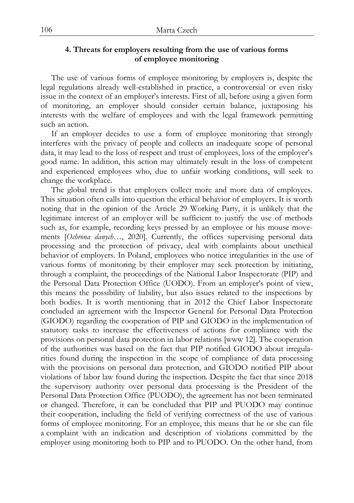# **4. Threats for employers resulting from the use of various forms of employee monitoring**

The use of various forms of employee monitoring by employers is, despite the legal regulations already well-established in practice, a controversial or even risky issue in the context of an employer's interests. First of all, before using a given form of monitoring, an employer should consider certain balance, juxtaposing his interests with the welfare of employees and with the legal framework permitting such an action.

If an employer decides to use a form of employee monitoring that strongly interferes with the privacy of people and collects an inadequate scope of personal data, it may lead to the loss of respect and trust of employees, loss of the employer's good name. In addition, this action may ultimately result in the loss of competent and experienced employees who, due to unfair working conditions, will seek to change the workplace.

The global trend is that employers collect more and more data of employees. This situation often calls into question the ethical behavior of employers. It is worth noting that in the opinion of the Article 29 Working Party, it is unlikely that the legitimate interest of an employer will be sufficient to justify the use of methods such as, for example, recording keys pressed by an employee or his mouse movements [*Ochrona danych…*, 2020]. Currently, the offices supervising personal data processing and the protection of privacy, deal with complaints about unethical behavior of employers. In Poland, employees who notice irregularities in the use of various forms of monitoring by their employer may seek protection by initiating, through a complaint, the proceedings of the National Labor Inspectorate (PIP) and the Personal Data Protection Office (UODO). From an employer's point of view, this means the possibility of liability, but also issues related to the inspections by both bodies. It is worth mentioning that in 2012 the Chief Labor Inspectorate concluded an agreement with the Inspector General for Personal Data Protection (GIODO) regarding the cooperation of PIP and GIODO in the implementation of statutory tasks to increase the effectiveness of actions for compliance with the provisions on personal data protection in labor relations [www 12]. The cooperation of the authorities was based on the fact that PIP notified GIODO about irregularities found during the inspection in the scope of compliance of data processing with the provisions on personal data protection, and GIODO notified PIP about violations of labor law found during the inspection. Despite the fact that since 2018 the supervisory authority over personal data processing is the President of the Personal Data Protection Office (PUODO), the agreement has not been terminated or changed. Therefore, it can be concluded that PIP and PUODO may continue their cooperation, including the field of verifying correctness of the use of various forms of employee monitoring. For an employee, this means that he or she can file a complaint with an indication and description of violations committed by the employer using monitoring both to PIP and to PUODO. On the other hand, from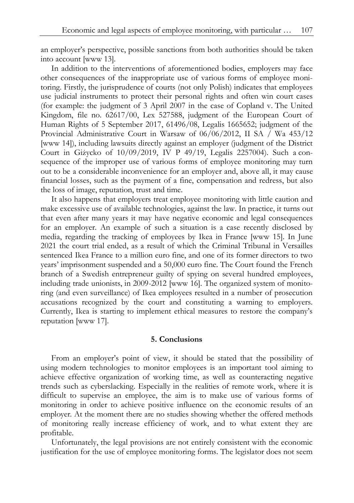an employer's perspective, possible sanctions from both authorities should be taken into account [www 13].

In addition to the interventions of aforementioned bodies, employers may face other consequences of the inappropriate use of various forms of employee monitoring. Firstly, the jurisprudence of courts (not only Polish) indicates that employees use judicial instruments to protect their personal rights and often win court cases (for example: the judgment of 3 April 2007 in the case of Copland v. The United Kingdom, file no. 62617/00, Lex 527588, judgment of the European Court of Human Rights of 5 September 2017, 61496/08, Legalis 1665652; judgment of the Provincial Administrative Court in Warsaw of 06/06/2012, II SA / Wa 453/12 [www 14]), including lawsuits directly against an employer (judgment of the District Court in Giżycko of 10/09/2019, IV P 49/19, Legalis 2257004). Such a consequence of the improper use of various forms of employee monitoring may turn out to be a considerable inconvenience for an employer and, above all, it may cause financial losses, such as the payment of a fine, compensation and redress, but also the loss of image, reputation, trust and time.

It also happens that employers treat employee monitoring with little caution and make excessive use of available technologies, against the law. In practice, it turns out that even after many years it may have negative economic and legal consequences for an employer. An example of such a situation is a case recently disclosed by media, regarding the tracking of employees by Ikea in France [www 15]. In June 2021 the court trial ended, as a result of which the Criminal Tribunal in Versailles sentenced Ikea France to a million euro fine, and one of its former directors to two years' imprisonment suspended and a 50,000 euro fine. The Court found the French branch of a Swedish entrepreneur guilty of spying on several hundred employees, including trade unionists, in 2009-2012 [www 16]. The organized system of monitoring (and even surveillance) of Ikea employees resulted in a number of prosecution accusations recognized by the court and constituting a warning to employers. Currently, Ikea is starting to implement ethical measures to restore the company's reputation [www 17].

# **5. Conclusions**

From an employer's point of view, it should be stated that the possibility of using modern technologies to monitor employees is an important tool aiming to achieve effective organization of working time, as well as counteracting negative trends such as cyberslacking. Especially in the realities of remote work, where it is difficult to supervise an employee, the aim is to make use of various forms of monitoring in order to achieve positive influence on the economic results of an employer. At the moment there are no studies showing whether the offered methods of monitoring really increase efficiency of work, and to what extent they are profitable.

Unfortunately, the legal provisions are not entirely consistent with the economic justification for the use of employee monitoring forms. The legislator does not seem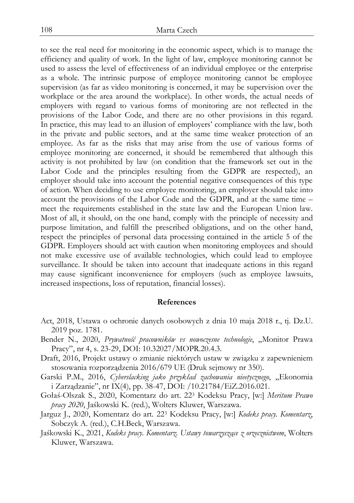to see the real need for monitoring in the economic aspect, which is to manage the efficiency and quality of work. In the light of law, employee monitoring cannot be used to assess the level of effectiveness of an individual employee or the enterprise as a whole. The intrinsic purpose of employee monitoring cannot be employee supervision (as far as video monitoring is concerned, it may be supervision over the workplace or the area around the workplace). In other words, the actual needs of employers with regard to various forms of monitoring are not reflected in the provisions of the Labor Code, and there are no other provisions in this regard. In practice, this may lead to an illusion of employers' compliance with the law, both in the private and public sectors, and at the same time weaker protection of an employee. As far as the risks that may arise from the use of various forms of employee monitoring are concerned, it should be remembered that although this activity is not prohibited by law (on condition that the framework set out in the Labor Code and the principles resulting from the GDPR are respected), an employer should take into account the potential negative consequences of this type of action. When deciding to use employee monitoring, an employer should take into account the provisions of the Labor Code and the GDPR, and at the same time – meet the requirements established in the state law and the European Union law. Most of all, it should, on the one hand, comply with the principle of necessity and purpose limitation, and fulfill the prescribed obligations, and on the other hand, respect the principles of personal data processing contained in the article 5 of the GDPR. Employers should act with caution when monitoring employees and should not make excessive use of available technologies, which could lead to employee surveillance. It should be taken into account that inadequate actions in this regard may cause significant inconvenience for employers (such as employee lawsuits, increased inspections, loss of reputation, financial losses).

## **References**

- Act, 2018, Ustawa o ochronie danych osobowych z dnia 10 maja 2018 r., tj. Dz.U. 2019 poz. 1781.
- Bender N., 2020, *Prywatność pracowników vs nowoczesne technologie*, "Monitor Prawa Pracy", nr 4, s. 23-29, DOI: 10.32027/MOPR.20.4.3.
- Draft, 2016, Projekt ustawy o zmianie niektórych ustaw w związku z zapewnieniem stosowania rozporządzenia 2016/679 UE (Druk sejmowy nr 350).
- Garski P.M., 2016, *Cyberslacking jako przykład zachowania nieetycznego*, "Ekonomia i Zarządzanie", nr IX(4), pp. 38-47, DOI: /10.21784/EiZ.2016.021.
- Gołaś-Olszak S., 2020, Komentarz do art. 223 Kodeksu Pracy, [w:] *Meritum Prawo pracy 2020*, Jaśkowski K. (red.), Wolters Kluwer, Warszawa.
- Jarguz J., 2020, Komentarz do art. 223 Kodeksu Pracy, [w:] *Kodeks pracy. Komentarz*, Sobczyk A. (red.), C.H.Beck, Warszawa.
- Jaśkowski K., 2021, *Kodeks pracy. Komentarz. Ustawy towarzyszące z orzecznictwem*, Wolters Kluwer, Warszawa.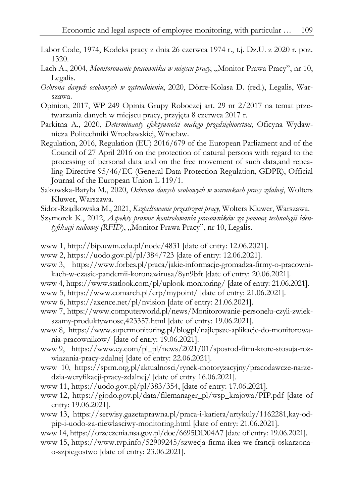- Labor Code, 1974, Kodeks pracy z dnia 26 czerwca 1974 r., t.j. Dz.U. z 2020 r. poz. 1320.
- Lach A., 2004, *Monitorowanie pracownika w miejscu pracy*, "Monitor Prawa Pracy", nr 10, Legalis.
- *Ochrona danych osobowych w zatrudnieniu*, 2020, Dörre-Kolasa D. (red.), Legalis, Warszawa.
- Opinion, 2017, WP 249 Opinia Grupy Roboczej art. 29 nr 2/2017 na temat przetwarzania danych w miejscu pracy, przyjęta 8 czerwca 2017 r.
- Parkitna A., 2020, *Determinanty efektywności małego przedsiębiorstwa*, Oficyna Wydawnicza Politechniki Wrocławskiej, Wrocław.
- Regulation, 2016, Regulation (EU) 2016/679 of the European Parliament and of the Council of 27 April 2016 on the protection of natural persons with regard to the processing of personal data and on the free movement of such data,and repealing Directive 95/46/EC (General Data Protection Regulation, GDPR), Official Journal of the European Union L 119/1.
- Sakowska-Baryła M., 2020, *Ochrona danych osobowych w warunkach pracy zdalnej*, Wolters Kluwer, Warszawa.
- Sidor-Rządkowska M., 2021, *Kształtowanie przestrzeni pracy*, Wolters Kluwer, Warszawa.
- Szymorek K., 2012, *Aspekty prawne kontrolowania pracowników za pomocą technologii iden*tyfikacji radiowej (RFID), "Monitor Prawa Pracy", nr 10, Legalis.
- www 1, http://bip.uwm.edu.pl/node/4831 [date of entry: 12.06.2021].
- www 2, https://uodo.gov.pl/pl/384/723 [date of entry: 12.06.2021].
- www 3, https://www.forbes.pl/praca/jakie-informacje-gromadza-firmy-o-pracownikach-w-czasie-pandemii-koronawirusa/8yn9bft [date of entry: 20.06.2021].
- www 4, https://www.statlook.com/pl/uplook-monitoring/ [date of entry: 21.06.2021].
- www 5, https://www.comarch.pl/erp/mypoint/ [date of entry: 21.06.2021].
- www 6, https://axence.net/pl/nvision [date of entry: 21.06.2021].
- www 7, https://www.computerworld.pl/news/Monitorowanie-personelu-czyli-zwiekszamy-produktywnosc,423357.html [date of entry: 19.06.2021].
- www 8, https://www.supermonitoring.pl/blogpl/najlepsze-aplikacje-do-monitorowania-pracownikow/ [date of entry: 19.06.2021].
- www 9, https://www.ey.com/pl\_pl/news/2021/01/sposrod-firm-ktore-stosuja-rozwiazania-pracy-zdalnej [date of entry: 22.06.2021].
- www 10, https://sprm.org.pl/aktualnosci/rynek-motoryzacyjny/pracodawcze-narzedzia-weryfikacji-pracy-zdalnej/ [date of entry 16.06.2021].
- www 11, https://uodo.gov.pl/pl/383/354, [date of entry: 17.06.2021].
- www 12, https://giodo.gov.pl/data/filemanager\_pl/wsp\_krajowa/PIP.pdf [date of entry: 19.06.2021].
- www 13, https://serwisy.gazetaprawna.pl/praca-i-kariera/artykuly/1162281,kay-odpip-i-uodo-za-niewlasciwy-monitoring.html [date of entry: 21.06.2021].

www 14, https://orzeczenia.nsa.gov.pl/doc/6695DD04A7 [date of entry: 19.06.2021]. www 15, https://www.tvp.info/52909245/szwecja-firma-ikea-we-francji-oskarzonao-szpiegostwo [date of entry: 23.06.2021].